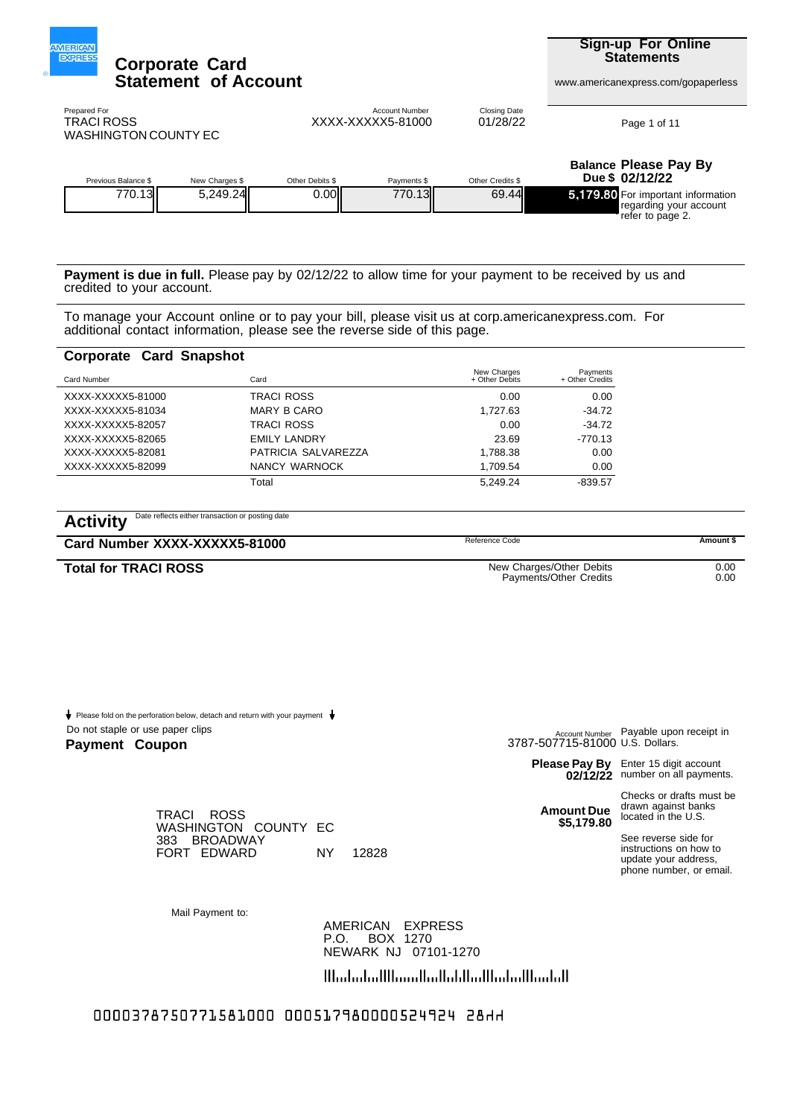

**Sign-up For Online Statements**

www.americanexpress.com/gopaperless

WASHINGTON COUNTY EC TRACI ROSS

XXXX-XXXXX5-81000 01/28/22 Prepared For **Account Number Closing Date** Closing Date

Page 1 of 11

| Previous Balance \$ | New Charges \$ | Other Debits \$ | Payments \$ | Other Credits \$ | <b>Balance Please Pay By</b><br>Due \$ 02/12/22                                    |
|---------------------|----------------|-----------------|-------------|------------------|------------------------------------------------------------------------------------|
| 770.13II            | 5.249.24       | 0.00            | 770.13II    | 69.44            | -5.179.80 For important information<br>regarding your account<br>'refer to page 2. |

**Payment is due in full.** Please pay by 02/12/22 to allow time for your payment to be received by us and credited to your account.

To manage your Account online or to pay your bill, please visit us at corp.americanexpress.com. For additional contact information, please see the reverse side of this page.

#### **Corporate Card Snapshot**

| Card Number       | Card                | New Charges<br>+ Other Debits | Payments<br>+ Other Credits |
|-------------------|---------------------|-------------------------------|-----------------------------|
| XXXX-XXXXX5-81000 | <b>TRACI ROSS</b>   | 0.00                          | 0.00                        |
| XXXX-XXXXX5-81034 | <b>MARY B CARO</b>  | 1.727.63                      | $-34.72$                    |
| XXXX-XXXXX5-82057 | <b>TRACI ROSS</b>   | 0.00                          | $-34.72$                    |
| XXXX-XXXXX5-82065 | <b>EMILY LANDRY</b> | 23.69                         | $-770.13$                   |
| XXXX-XXXXX5-82081 | PATRICIA SALVAREZZA | 1.788.38                      | 0.00                        |
| XXXX-XXXXX5-82099 | NANCY WARNOCK       | 1.709.54                      | 0.00                        |
|                   | Total               | 5.249.24                      | $-839.57$                   |

## Activity Date reflects either transaction or posting date

**Card Number XXXX-XXXXX5-81000 Amount \$** Reference Code **Amount \$** 

**Total for TRACI ROSS** 0.00

New Charges/Other Debits Payments/Other Credits

0.00

Do not staple or use paper clips Please fold on the perforation below, detach and return with your payment  $\bigstar$ 

#### **Payment** Coupon

Payable upon receipt in <sub>Account Number</sub> Payable upo<br>7715-81000 U.S. Dollars.

**02/12/22**

Enter 15 digit account **Please Pay By** Enter 15 digit account<br> **02/12/22** number on all payments.

**Amount Due \$5,179.80**

Checks or drafts must be drawn against banks located in the U.S.

See reverse side for instructions on how to update your address, phone number, or email.

Mail Payment to:

383 BROADWAY

TRACI ROSS

NEWARK NJ 07101-1270 P.O. BOX 1270 AMERICAN EXPRESS

الملتشالسانشانشاليان التواسيا الاسانشانيالا

0000378750771581000 000517980000524924 28HH

FORT EDWARD NY 12828

WASHINGTON COUNTY EC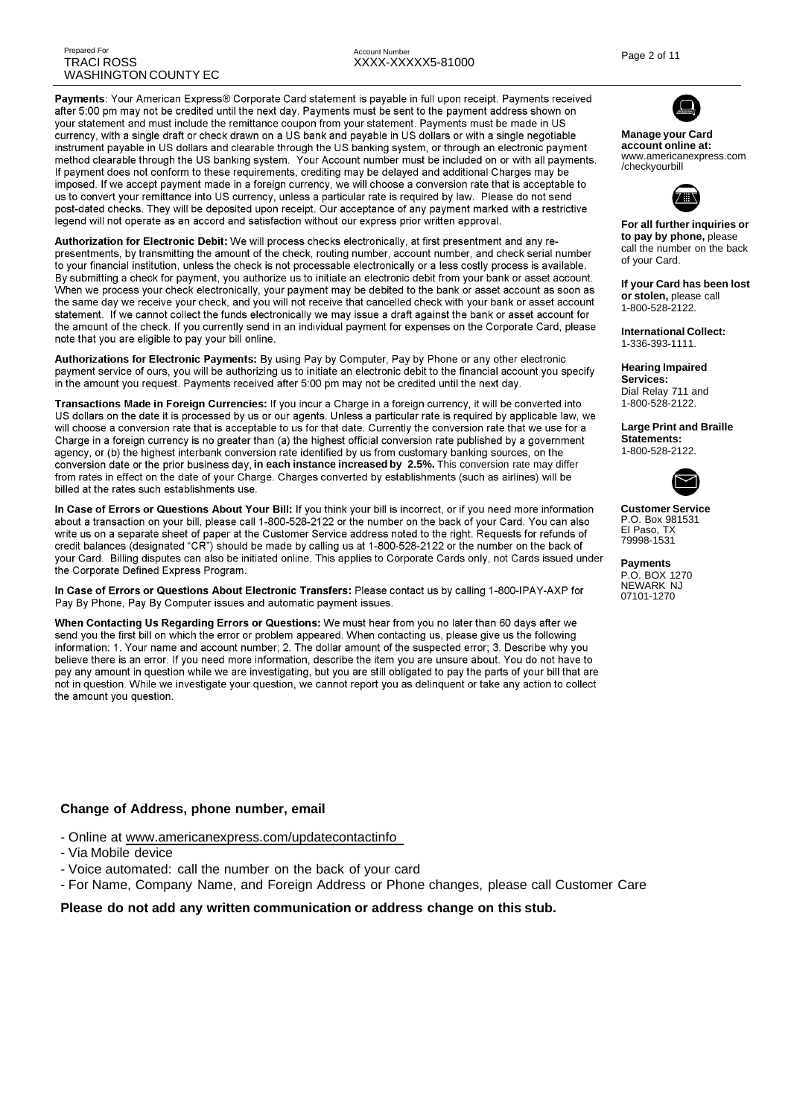Payments: Your American Express® Corporate Card statement is payable in full upon receipt. Payments received after 5:00 pm may not be credited until the next day. Payments must be sent to the payment address shown on your statement and must include the remittance coupon from your statement. Payments must be made in US currency, with a single draft or check drawn on a US bank and payable in US dollars or with a single negotiable instrument payable in US dollars and clearable through the US banking system, or through an electronic payment method clearable through the US banking system. Your Account number must be included on or with all payments. If payment does not conform to these requirements, crediting may be delayed and additional Charges may be imposed. If we accept payment made in a foreign currency, we will choose a conversion rate that is acceptable to us to convert your remittance into US currency, unless a particular rate is required by law. Please do not send post-dated checks. They will be deposited upon receipt. Our acceptance of any payment marked with a restrictive legend will not operate as an accord and satisfaction without our express prior written approval.

Authorization for Electronic Debit: We will process checks electronically, at first presentment and any representments, by transmitting the amount of the check, routing number, account number, and check serial number to your financial institution, unless the check is not processable electronically or a less costly process is available. By submitting a check for payment, you authorize us to initiate an electronic debit from your bank or asset account. When we process your check electronically, your payment may be debited to the bank or asset account as soon as the same day we receive your check, and you will not receive that cancelled check with your bank or asset account statement. If we cannot collect the funds electronically we may issue a draft against the bank or asset account for the amount of the check. If you currently send in an individual payment for expenses on the Corporate Card, please note that you are eligible to pay your bill online.

Authorizations for Electronic Payments: By using Pay by Computer. Pay by Phone or any other electronic payment service of ours, you will be authorizing us to initiate an electronic debit to the financial account you specify in the amount you request. Payments received after 5:00 pm may not be credited until the next day.

Transactions Made in Foreign Currencies: If you incur a Charge in a foreign currency, it will be converted into US dollars on the date it is processed by us or our agents. Unless a particular rate is required by applicable law, we will choose a conversion rate that is acceptable to us for that date. Currently the conversion rate that we use for a Charge in a foreign currency is no greater than (a) the highest official conversion rate published by a government agency, or (b) the highest interbank conversion rate identified by us from customary banking sources, on the conversion date or the prior business day, in each instance increased by 2.5%. This conversion rate may differ<br>from rates in effect on the date of your Charge. Charges converted by establishments (such as airlines) will be billed at the rates such establishments use.

In Case of Errors or Questions About Your Bill: If you think your bill is incorrect, or if you need more information about a transaction on your bill, please call 1-800-528-2122 or the number on the back of your Card. You can also write us on a separate sheet of paper at the Customer Service address noted to the right. Requests for refunds of credit balances (designated "CR") should be made by calling us at 1-800-528-2122 or the number on the back of your Card. Billing disputes can also be initiated online. This applies to Corporate Cards only, not Cards issued under the Corporate Defined Express Program.

In Case of Errors or Questions About Electronic Transfers: Please contact us by calling 1-800-IPAY-AXP for Pay By Phone, Pay By Computer issues and automatic payment issues.

When Contacting Us Regarding Errors or Questions: We must hear from you no later than 60 days after we send you the first bill on which the error or problem appeared. When contacting us, please give us the following information: 1. Your name and account number; 2. The dollar amount of the suspected error; 3. Describe why you believe there is an error. If you need more information, describe the item you are unsure about. You do not have to pay any amount in question while we are investigating, but you are still obligated to pay the parts of your bill that are not in question. While we investigate your question, we cannot report you as delinquent or take any action to collect the amount you question.

#### **Change of Address, phone number, email**

- Online at www.americanexpress.com/updatecontactinfo
- Via Mobile device
- Voice automated: call the number on the back of your card
- For Name, Company Name, and Foreign Address or Phone changes, please call Customer Care

#### **Please do not add any written communication or address change on this stub.**



#### **Manage your Card account online at:** www.americanexpress.com /checkyourbill



**For all further inquiries or to pay by phone,** please call the number on the back of your Card.

**If your Card has been lost or stolen,** please call 1-800-528-2122.

**International Collect:** 1-336-393-1111.

**Hearing Impaired Services:** Dial Relay 711 and 1-800-528-2122.

**Large Print and Braille Statements:** 1-800-528-2122.



**Customer Service** P.O. Box 981531 El Paso, TX 79998-1531

**Payments** P.O. BOX 1270 NEWARK NJ 07101-1270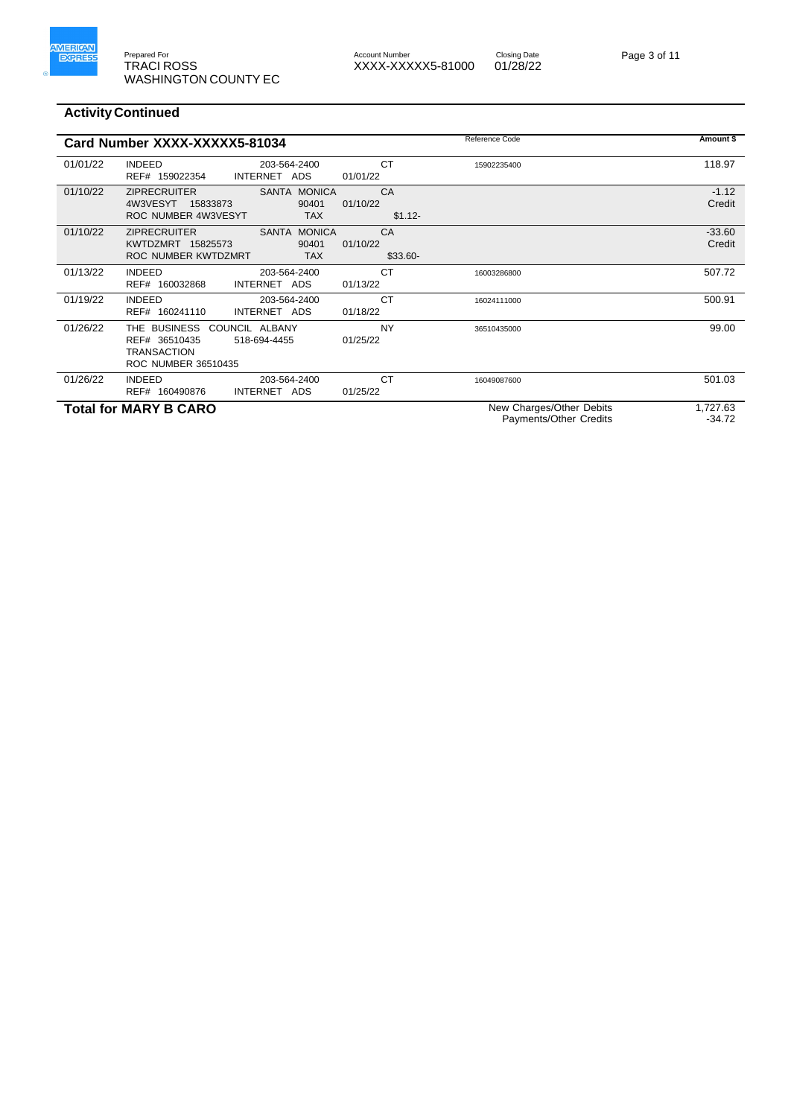

# Account Number<br>XXXX-XXXXX5-81000 01/28/22

Page 3 of 11

|          | Card Number XXXX-XXXXX5-81034                                                                                |                             | Reference Code                                     | Amount \$            |
|----------|--------------------------------------------------------------------------------------------------------------|-----------------------------|----------------------------------------------------|----------------------|
| 01/01/22 | <b>INDEED</b><br>203-564-2400<br>REF# 159022354<br>INTERNET ADS                                              | CT<br>01/01/22              | 15902235400                                        | 118.97               |
| 01/10/22 | SANTA MONICA<br><b>ZIPRECRUITER</b><br>4W3VESYT<br>90401<br>15833873<br>ROC NUMBER 4W3VESYT<br><b>TAX</b>    | CA<br>01/10/22<br>$$1.12-$  |                                                    | $-1.12$<br>Credit    |
| 01/10/22 | <b>ZIPRECRUITER</b><br>SANTA MONICA<br>KWTDZMRT 15825573<br>90401<br>ROC NUMBER KWTDZMRT<br><b>TAX</b>       | CA<br>01/10/22<br>$$33.60-$ |                                                    | $-33.60$<br>Credit   |
| 01/13/22 | <b>INDEED</b><br>203-564-2400<br>INTERNET ADS<br>REF# 160032868                                              | <b>CT</b><br>01/13/22       | 16003286800                                        | 507.72               |
| 01/19/22 | <b>INDEED</b><br>203-564-2400<br>REF# 160241110<br>INTERNET ADS                                              | <b>CT</b><br>01/18/22       | 16024111000                                        | 500.91               |
| 01/26/22 | THE BUSINESS<br>COUNCIL ALBANY<br>REF# 36510435<br>518-694-4455<br><b>TRANSACTION</b><br>ROC NUMBER 36510435 | <b>NY</b><br>01/25/22       | 36510435000                                        | 99.00                |
| 01/26/22 | <b>INDEED</b><br>203-564-2400<br>REF# 160490876<br>INTERNET ADS                                              | <b>CT</b><br>01/25/22       | 16049087600                                        | 501.03               |
|          | <b>Total for MARY B CARO</b>                                                                                 |                             | New Charges/Other Debits<br>Payments/Other Credits | 1,727.63<br>$-34.72$ |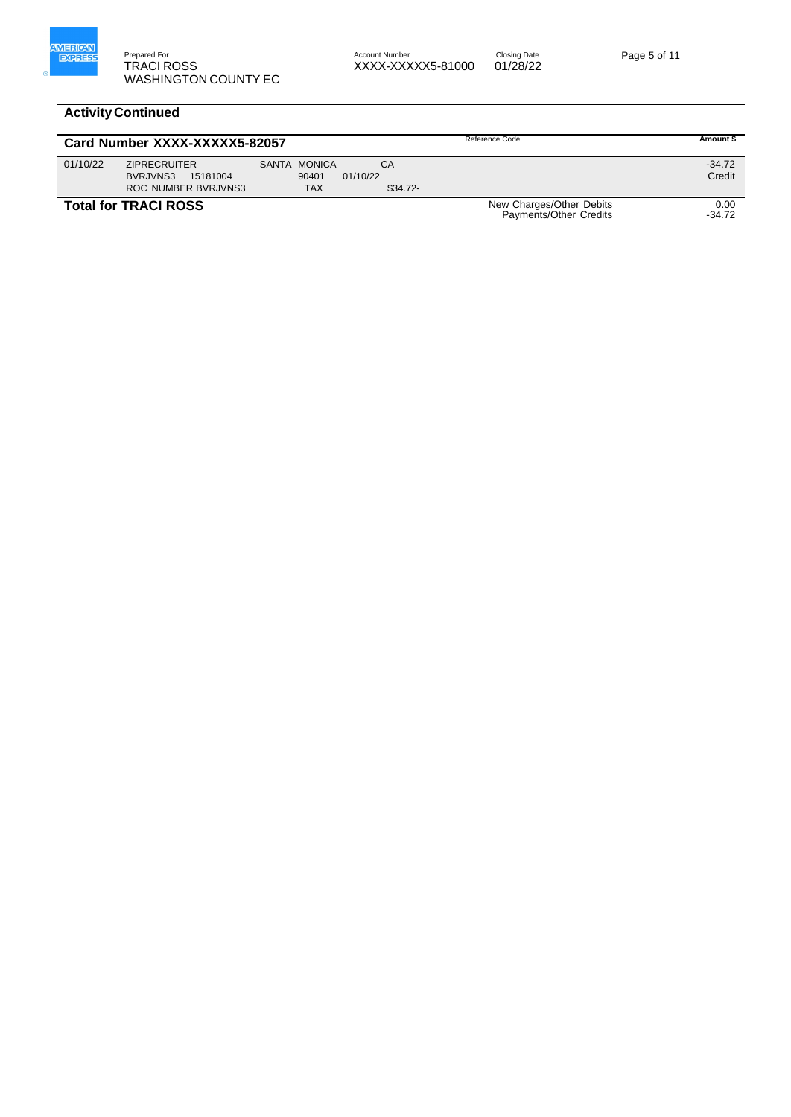

|          | Card Number XXXX-XXXXX5-82057                                             |                                     |                             | Reference Code                                     | Amount \$          |
|----------|---------------------------------------------------------------------------|-------------------------------------|-----------------------------|----------------------------------------------------|--------------------|
| 01/10/22 | <b>ZIPRECRUITER</b><br>15181004<br>BVRJVNS3<br><b>ROC NUMBER BVRJVNS3</b> | SANTA MONICA<br>90401<br><b>TAX</b> | CA<br>01/10/22<br>$$34.72-$ |                                                    | $-34.72$<br>Credit |
|          | <b>Total for TRACI ROSS</b>                                               |                                     |                             | New Charges/Other Debits<br>Payments/Other Credits | 0.00<br>$-34.72$   |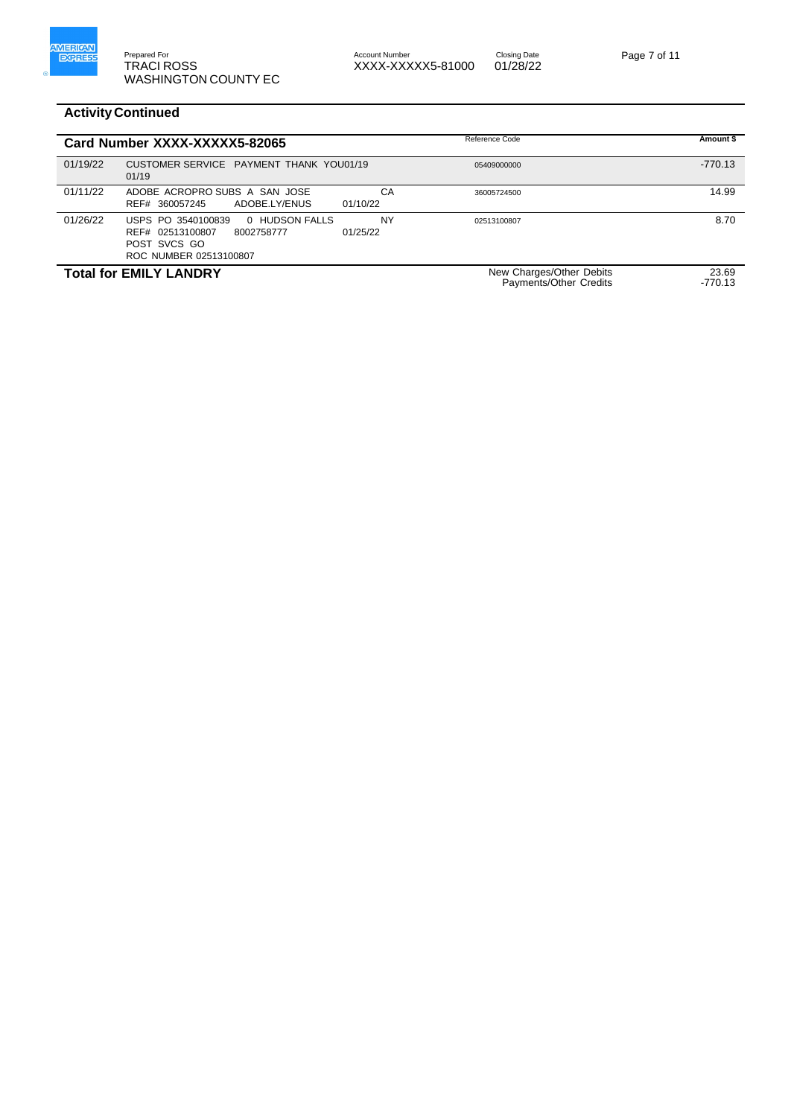

Account Number<br>XXXX-XXXXX5-81000 01/28/22

Page 7 of 11

|          | Card Number XXXX-XXXXX5-82065                                                                                                | Reference Code                                     | Amount \$          |
|----------|------------------------------------------------------------------------------------------------------------------------------|----------------------------------------------------|--------------------|
| 01/19/22 | CUSTOMER SERVICE PAYMENT THANK YOU01/19<br>01/19                                                                             | 05409000000                                        | $-770.13$          |
| 01/11/22 | ADOBE ACROPRO SUBS A SAN JOSE<br>ADOBE.LY/ENUS<br>01/10/22<br>REF# 360057245                                                 | CA<br>36005724500                                  | 14.99              |
| 01/26/22 | 0 HUDSON FALLS<br>USPS PO 3540100839<br>REF# 02513100807<br>01/25/22<br>8002758777<br>POST SVCS GO<br>ROC NUMBER 02513100807 | <b>NY</b><br>02513100807                           | 8.70               |
|          | <b>Total for EMILY LANDRY</b>                                                                                                | New Charges/Other Debits<br>Payments/Other Credits | 23.69<br>$-770.13$ |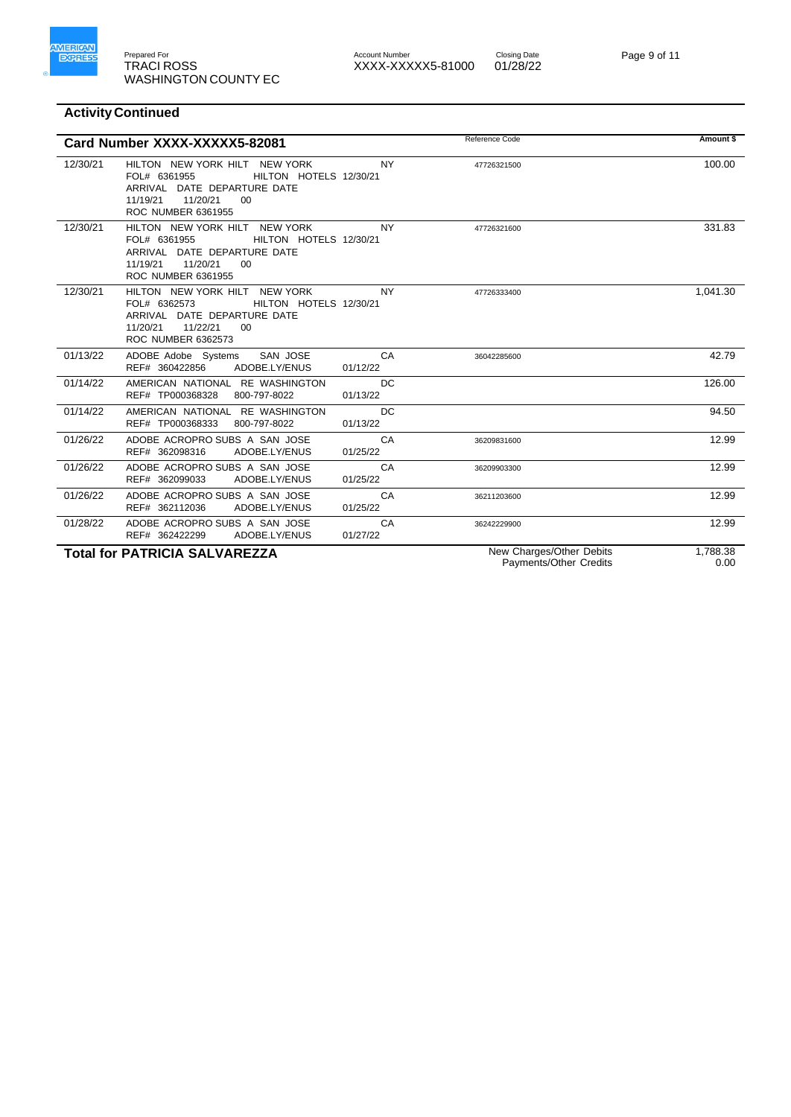

#### Prepared For Account Number Account Number Closing Date Account Number<br>XXXX-XXXXX5-81000 01/28/22



|          | Card Number XXXX-XXXXX5-82081                                                                                                                                           |                       | Reference Code                                     | Amount \$        |
|----------|-------------------------------------------------------------------------------------------------------------------------------------------------------------------------|-----------------------|----------------------------------------------------|------------------|
| 12/30/21 | HILTON NEW YORK HILT NEW YORK<br>HILTON HOTELS 12/30/21<br>FOL# 6361955<br>ARRIVAL DATE DEPARTURE DATE<br>11/19/21<br>11/20/21<br>00<br>ROC NUMBER 6361955              | <b>NY</b>             | 47726321500                                        | 100.00           |
| 12/30/21 | HILTON NEW YORK HILT NEW YORK<br>FOL# 6361955<br>HILTON HOTELS 12/30/21<br>ARRIVAL DATE DEPARTURE DATE<br>11/19/21<br>11/20/21<br>00 <sup>2</sup><br>ROC NUMBER 6361955 | <b>NY</b>             | 47726321600                                        | 331.83           |
| 12/30/21 | HILTON NEW YORK HILT NEW YORK<br>HILTON HOTELS 12/30/21<br>FOL# 6362573<br>ARRIVAL DATE DEPARTURE DATE<br>11/20/21<br>11/22/21<br>00<br><b>ROC NUMBER 6362573</b>       | <b>NY</b>             | 47726333400                                        | 1,041.30         |
| 01/13/22 | ADOBE Adobe Systems<br>SAN JOSE<br>ADOBE.LY/ENUS<br>REF# 360422856                                                                                                      | CA<br>01/12/22        | 36042285600                                        | 42.79            |
| 01/14/22 | AMERICAN NATIONAL RE WASHINGTON<br>REF# TP000368328<br>800-797-8022                                                                                                     | DC<br>01/13/22        |                                                    | 126.00           |
| 01/14/22 | AMERICAN NATIONAL RE WASHINGTON<br>REF# TP000368333<br>800-797-8022                                                                                                     | <b>DC</b><br>01/13/22 |                                                    | 94.50            |
| 01/26/22 | ADOBE ACROPRO SUBS A SAN JOSE<br>REF# 362098316<br>ADOBE.LY/ENUS                                                                                                        | CA<br>01/25/22        | 36209831600                                        | 12.99            |
| 01/26/22 | ADOBE ACROPRO SUBS A SAN JOSE<br>ADOBE.LY/ENUS<br>REF# 362099033                                                                                                        | CA<br>01/25/22        | 36209903300                                        | 12.99            |
| 01/26/22 | ADOBE ACROPRO SUBS A SAN JOSE<br>REF# 362112036<br>ADOBE.LY/ENUS                                                                                                        | CA<br>01/25/22        | 36211203600                                        | 12.99            |
| 01/28/22 | ADOBE ACROPRO SUBS A SAN JOSE<br>REF# 362422299<br>ADOBE.LY/ENUS                                                                                                        | CA<br>01/27/22        | 36242229900                                        | 12.99            |
|          | <b>Total for PATRICIA SALVAREZZA</b>                                                                                                                                    |                       | New Charges/Other Debits<br>Payments/Other Credits | 1,788.38<br>0.00 |